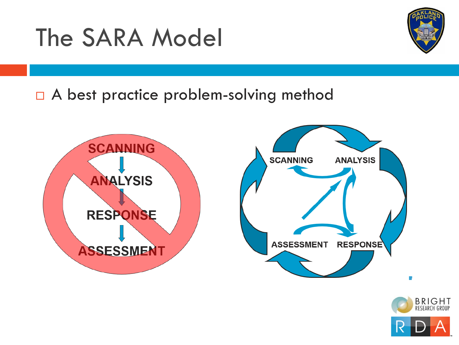# The SARA Model



□ A best practice problem-solving method



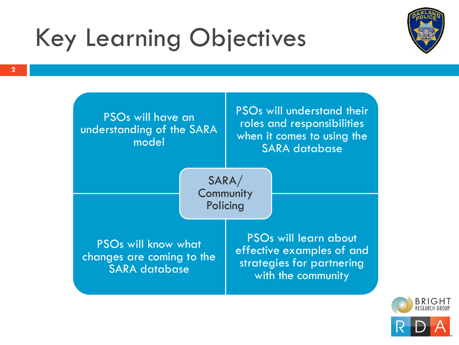# Key Learning Objectives

**2**





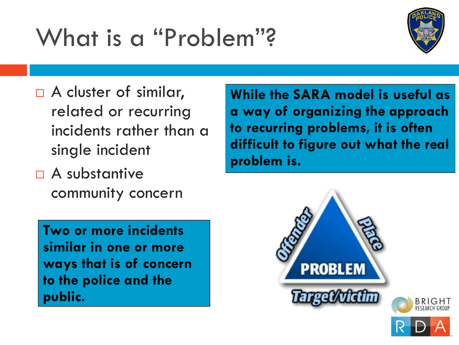# What is a "Problem"?



- □ A cluster of similar, related or recurring incidents rather than a single incident
- $\Box$  A substantive community concern

**Two or more incidents similar in one or more ways that is of concern to the police and the public.**

**While the SARA model is useful as a way of organizing the approach to recurring problems, it is often difficult to figure out what the real problem is.** 

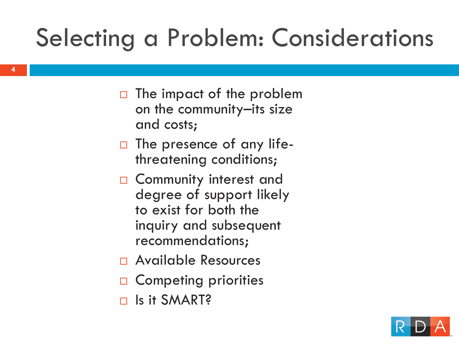# Selecting a Problem: Considerations

- $\Box$  The impact of the problem on the community–its size and costs;
- $\Box$  The presence of any lifethreatening conditions;
- □ Community interest and degree of support likely to exist for both the inquiry and subsequent recommendations;
- Available Resources
- □ Competing priorities
- $\Box$  Is it SMART?

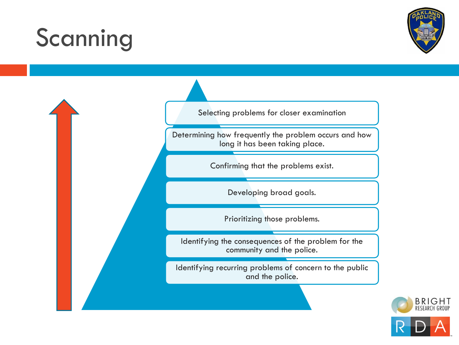# Scanning



RESEARCH GROUP

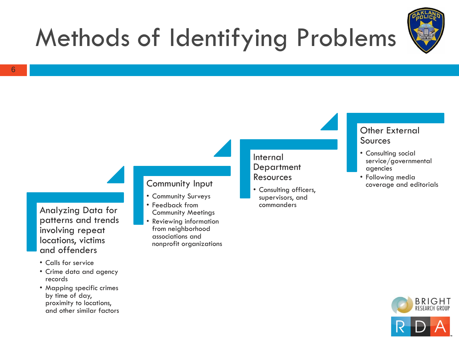# Methods of Identifying Problems



6

Analyzing Data for patterns and trends involving repeat locations, victims and offenders

- Calls for service
- Crime data and agency records
- Mapping specific crimes by time of day, proximity to locations, and other similar factors

## Community Input

- Community Surveys
- Feedback from Community Meetings
- Reviewing information from neighborhood associations and nonprofit organizations

### Internal **Department** Resources

• Consulting officers, supervisors, and commanders

## Other External Sources

- Consulting social service/governmental agencies
- Following media coverage and editorials

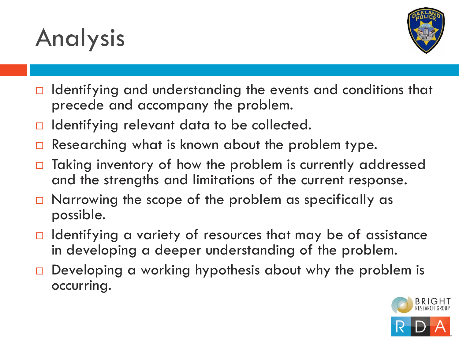# Analysis



- $\Box$  Identifying and understanding the events and conditions that precede and accompany the problem.
- $\Box$  Identifying relevant data to be collected.
- $\Box$  Researching what is known about the problem type.
- Taking inventory of how the problem is currently addressed and the strengths and limitations of the current response.
- $\Box$  Narrowing the scope of the problem as specifically as possible.
- $\Box$  Identifying a variety of resources that may be of assistance in developing a deeper understanding of the problem.
- Developing a working hypothesis about why the problem is occurring.

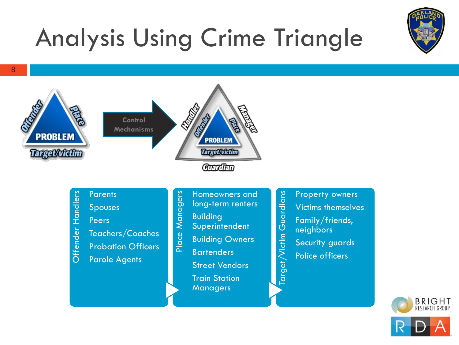

# Analysis Using Crime Triangle



- **Parents** Offender Handlers Offender Handlers
	- Spouses **Peers**
	- Teachers/Coaches
	- Probation Officers
- Parole Agents
- Homeowners and
- long-term renters
- Place Managers Place Managers Building
	- Superintendent
	- Building Owners
	- **Bartenders** 
		- Street Vendors
		- Train Station **Managers**

Target/Victim Guardians Target/Victim Guardians

Property owners Victims themselves Family/friends, neighbors Security guards Police officers

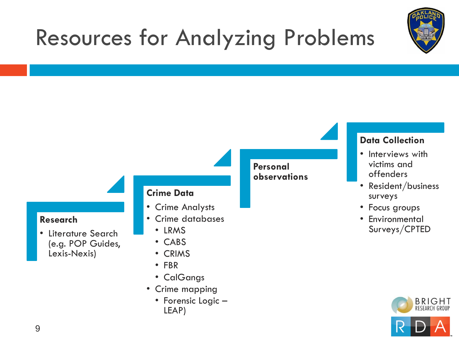# Resources for Analyzing Problems





LEAP)

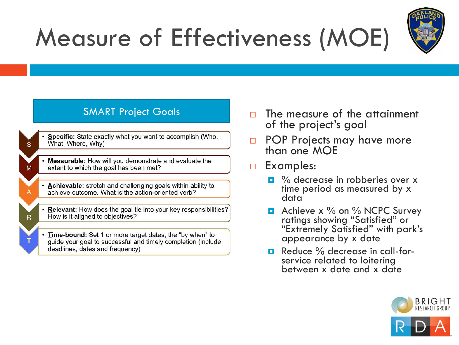# Measure of Effectiveness (MOE)



## SMART Project Goals

- Specific: State exactly what you want to accomplish (Who, What, Where, Why)
- Measurable: How will you demonstrate and evaluate the extent to which the goal has been met?

S

M

R

- Achievable: stretch and challenging goals within ability to achieve outcome. What is the action-oriented verb?
- **Relevant:** How does the goal tie into your key responsibilities? How is it aligned to objectives?
- Time-bound: Set 1 or more target dates, the "by when" to guide your goal to successful and timely completion (include deadlines, dates and frequency)
- $\Box$  The measure of the attainment of the project's goal
- □ POP Projects may have more than one MOE
- □ Examples:
	- % decrease in robberies over x time period as measured by x data
	- **E** Achieve x % on % NCPC Survey ratings showing "Satisfied" or "Extremely Satisfied" with park's appearance by x date
	- **Reduce % decrease in call-for**service related to loitering between x date and x date

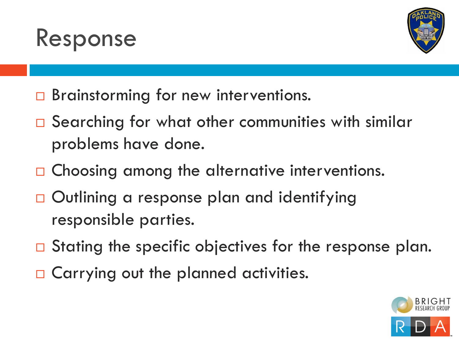



- $\Box$  Brainstorming for new interventions.
- $\Box$  Searching for what other communities with similar problems have done.
- $\Box$  Choosing among the alternative interventions.
- □ Outlining a response plan and identifying responsible parties.
- $\Box$  Stating the specific objectives for the response plan.
- □ Carrying out the planned activities.

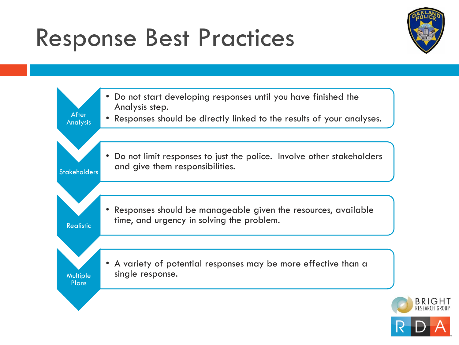# Response Best Practices





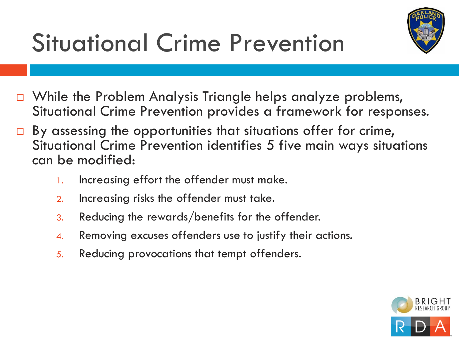

- While the Problem Analysis Triangle helps analyze problems, Situational Crime Prevention provides a framework for responses.
- $\Box$  By assessing the opportunities that situations offer for crime, Situational Crime Prevention identifies 5 five main ways situations can be modified:
	- 1. Increasing effort the offender must make.
	- 2. Increasing risks the offender must take.
	- 3. Reducing the rewards/benefits for the offender.
	- 4. Removing excuses offenders use to justify their actions.
	- 5. Reducing provocations that tempt offenders.

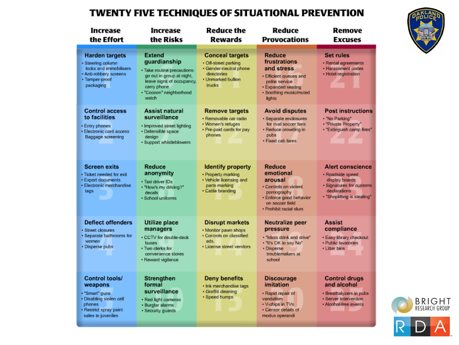## TWENTY FIVE TECHNIQUES OF SITUATIONAL PREVENTION

| Increase<br>the Effort                                                                                                           | Increase<br>the Risks                                                                                                                                              | <b>Reduce the</b><br><b>Rewards</b>                                                                                     | Reduce<br>Provocations                                                                                                                          | Remove<br><b>Excuses</b>                                                                                                                 |
|----------------------------------------------------------------------------------------------------------------------------------|--------------------------------------------------------------------------------------------------------------------------------------------------------------------|-------------------------------------------------------------------------------------------------------------------------|-------------------------------------------------------------------------------------------------------------------------------------------------|------------------------------------------------------------------------------------------------------------------------------------------|
| <b>Harden targets</b><br>· Steering column<br>locks and immobilisers<br>• Anti-robbery screens<br>• Tamper-proof<br>packaging    | Extend<br>guardianship<br>· Take routine precautions:<br>go out in group at night,<br>leave signs of occupancy.<br>carry phone<br>· "Cocoon" neighborhood<br>watch | <b>Conceal targets</b><br>· Off-street parking<br>· Gender-neutral phone<br>directories<br>• Unmarked bullion<br>trucks | Reduce<br>frustrations<br>and stress<br>• Efficient queues and<br>polite service<br>· Expanded seating<br>· Scothing music/muted<br>lights      | <b>Set rules</b><br>· Rental agreements<br>· Harassment codes<br>· Hotel registration                                                    |
| <b>Control access</b><br>to facilities<br>• Entry phones<br>· Electronic card access<br>Baggage screening                        | Assist natural<br>surveillance<br>· Improved street lighting<br>• Defensible space<br>design<br>· Support whistleblowers                                           | <b>Remove targets</b><br>· Removable car radio<br>· Women's refuges<br>· Pre-paid cards for pay<br>phones               | <b>Avoid disputes</b><br>· Separate enclosures<br>for rival soccer fans<br>· Reduce crowding in<br>pubs<br>· Fixed cab fares                    | <b>Post instructions</b><br>. "No Parking"<br>· "Private Property"<br>· "Extinguish camp fires"                                          |
| <b>Screen exits</b><br>· Ticket needed for exit<br><b>- Export documents</b><br>· Electronic merchandise<br>tags                 | Reduce<br>anonymity<br>· Taxi driver IDs<br>· "How's my driving?"<br>decals<br>· School uniforms                                                                   | <b>Identify property</b><br>• Property marking<br>• Vehicle licensing and<br>parts marking<br>· Cattle branding         | Reduce<br>emotional<br>arousal<br>· Controls on violent<br>pornography<br>· Enforce good behavior<br>on soccer field<br>· Prohibit racial slurs | <b>Alert conscience</b><br>• Roadside speed<br>display boards<br>· Signatures for customs<br>declarations<br>· "Shoplifting is stealing" |
| <b>Deflect offenders</b><br>· Street closures<br>· Separate bathrooms for<br>women<br>· Disperse pubs                            | Utilize place<br>managers<br>· CCTV for double-deck<br>buses<br>· Two clerks for<br>convenience stores<br>· Reward vigilance                                       | <b>Disrupt markets</b><br>. Monitor pawn shops<br>· Controls on classified<br>ads.<br>· License street vendors          | Neutralize peer<br>pressure<br>· "Idiots drink and drive"<br>. "It's OK to say No"<br>• Disperse<br>troublemakers at<br>school                  | Assist<br>compliance<br>· Easy library checkout<br>· Public lavatories<br>· Litter bins                                                  |
| Control tools/<br>weapons<br>· "Smart" guns<br>· Disabling stolen cell<br>phones<br>· Restrict spray paint<br>sales to juveniles | Strengthen<br>formal<br>surveillance<br>· Red light cameras<br>· Burglar alarms<br>· Security guards                                                               | Deny benefits<br>· Ink merchandise tags<br>· Graffiti deaning<br>· Speed humps                                          | <b>Discourage</b><br>imitation<br>· Rapid repair of<br>vandalism<br>• V-chips in TVs<br>· Censor details of<br>modus operandi                   | <b>Control drugs</b><br>and alcohol<br>· Breathalyzers in pubs<br>· Server intervention<br>• Alcohol-free events                         |



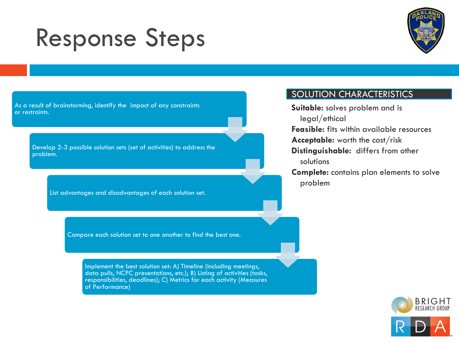# Response Steps



As a result of brainstorming, identify the impact of any constraints or restraints.

Develop 2-3 possible solution sets (set of activities) to address the problem.

List advantages and disadvantages of each solution set.

### SOLUTION CHARACTERISTICS

**Suitable:** solves problem and is legal/ethical **Feasible:** fits within available resources **Acceptable:** worth the cost/risk **Distinguishable:** differs from other solutions **Complete:** contains plan elements to solve problem

Compare each solution set to one another to find the best one.

Implement the best solution set: A) Timeline (including meetings, data pulls, NCPC presentations, etc.); B) Listing of activities (tasks, responsibilities, deadlines); C) Metrics for each activity (Measures of Performance)

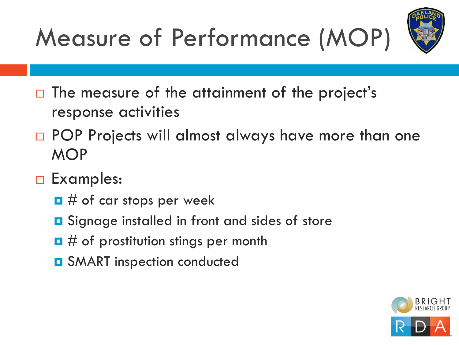Measure of Performance (MOP)



- $\Box$  The measure of the attainment of the project's response activities
- **POP Projects will almost always have more than one** MOP
- □ Examples:
	- $\blacksquare$  # of car stops per week
	- **□** Signage installed in front and sides of store
	- $\blacksquare$  # of prostitution stings per month
	- **O** SMART inspection conducted

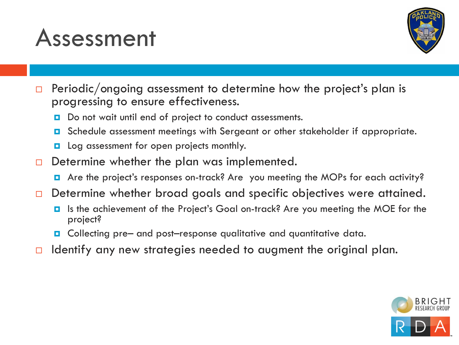# Assessment



- $\Box$  Periodic/ongoing assessment to determine how the project's plan is progressing to ensure effectiveness.
	- Do not wait until end of project to conduct assessments.
	- **D** Schedule assessment meetings with Sergeant or other stakeholder if appropriate.
	- Log assessment for open projects monthly.
- $\Box$  Determine whether the plan was implemented.
	- Are the project's responses on-track? Are you meeting the MOPs for each activity?
- $\Box$  Determine whether broad goals and specific objectives were attained.
	- Is the achievement of the Project's Goal on-track? Are you meeting the MOE for the project?
	- Collecting pre– and post–response qualitative and quantitative data.
- $\Box$  Identify any new strategies needed to augment the original plan.

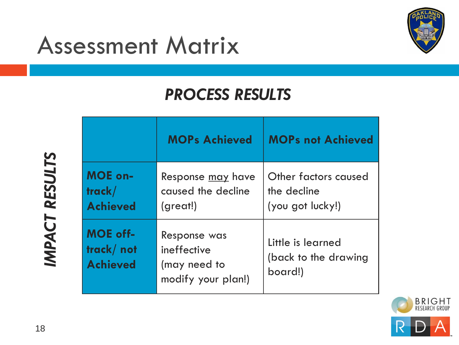# Assessment Matrix



# *PROCESS RESULTS*

|                                                 | <b>MOPs Achieved</b>                                              | <b>MOPs not Achieved</b>                                |
|-------------------------------------------------|-------------------------------------------------------------------|---------------------------------------------------------|
| <b>MOE on-</b><br>track/<br><b>Achieved</b>     | Response may have<br>caused the decline<br>(great!)               | Other factors caused<br>the decline<br>(you got lucky!) |
| <b>MOE</b> off-<br>track/not<br><b>Achieved</b> | Response was<br>ineffective<br>(may need to<br>modify your plan!) | Little is learned<br>(back to the drawing<br>board!)    |



**IMPACT RESULTS** *IMPACT RESULTS*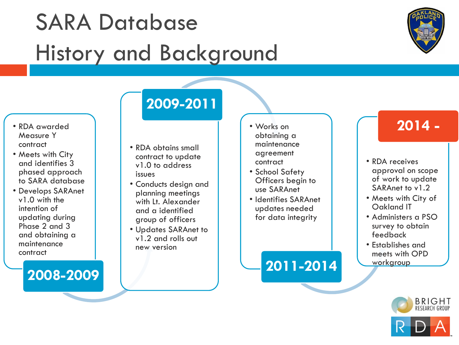# SARA Database History and Background

# **2009-2011**

- RDA awarded Measure Y contract
- Meets with City and identifies 3 phased approach to SARA database
- Develops SARAnet v1.0 with the intention of updating during Phase 2 and 3 and obtaining a maintenance contract

**2008-2009**

- RDA obtains small contract to update v1.0 to address issues
- Conducts design and planning meetings with Lt. Alexander and a identified group of officers
- Updates SARAnet to v1.2 and rolls out new version
- Works on obtaining a maintenance agreement contract
- School Safety Officers begin to use SARAnet
- Identifies SARAnet updates needed for data integrity

## **2011-2014**

# **2014 -**

- RDA receives approval on scope of work to update SARAnet to v1.2
- Meets with City of Oakland IT
- Administers a PSO survey to obtain feedback
- Establishes and meets with OPD workgroup



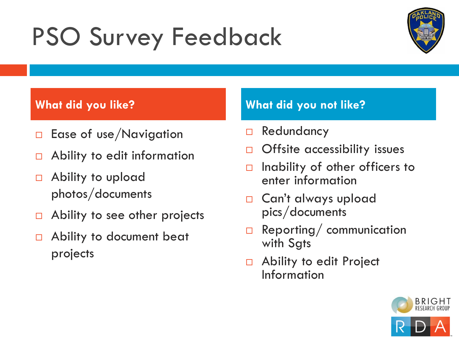# PSO Survey Feedback



- $\Box$  Ease of use/Navigation
- $\Box$  Ability to edit information
- □ Ability to upload photos/documents
- $\Box$  Ability to see other projects
- Ability to document beat projects

## **What did you like? What did you not like?**

- □ Redundancy
- □ Offsite accessibility issues
- $\Box$  Inability of other officers to enter information
- □ Can't always upload pics/documents
- $\Box$  Reporting/communication with Sgts
- Ability to edit Project Information

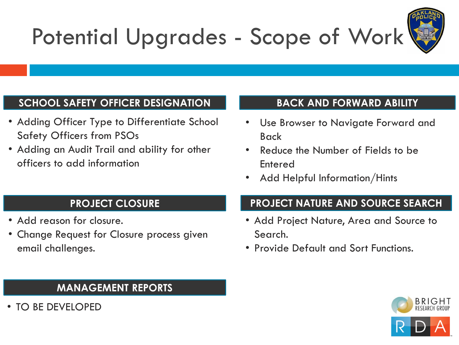



## **SCHOOL SAFETY OFFICER DESIGNATION BACK AND FORWARD ABILITY**

- Adding Officer Type to Differentiate School Safety Officers from PSOs
- Adding an Audit Trail and ability for other officers to add information

- Use Browser to Navigate Forward and Back
- Reduce the Number of Fields to be Entered
- Add Helpful Information/Hints

- Add reason for closure.
- Change Request for Closure process given email challenges.

## **MANAGEMENT REPORTS**

• TO BE DEVELOPED

## **PROJECT CLOSURE PROJECT NATURE AND SOURCE SEARCH**

- Add Project Nature, Area and Source to Search.
- Provide Default and Sort Functions.

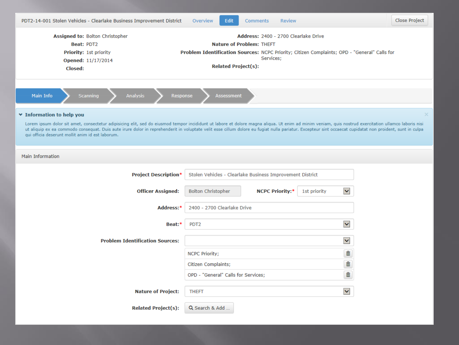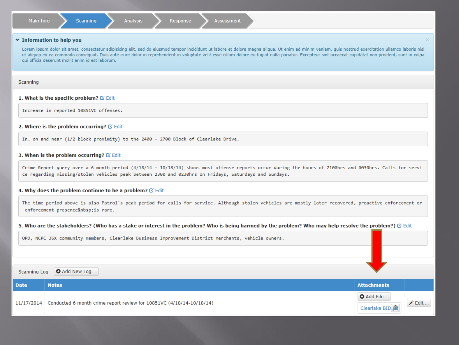| Info<br>air |  |  |  |  |  |
|-------------|--|--|--|--|--|
|             |  |  |  |  |  |
|             |  |  |  |  |  |
|             |  |  |  |  |  |

Response **Assessment** 

### ▼ Information to help you

Lorem ipsum dolor sit amet, consectetur adipisicing elit, sed do eiusmod tempor incididunt ut labore et dolore magna aliqua. Ut enim ad minim veniam, quis nostrud exercitation ullamco laboris nisi ut aliquip ex ea commodo consequat. Duis aute irure dolor in reprehenderit in voluptate velit esse cillum dolore eu fugiat nulla pariatur. Excepteur sint occaecat cupidatat non proident, sunt in culpa qui officia deserunt mollit anim id est laborum.

### Scanning

### 1. What is the specific problem? @ Edit

Increase in reported 10851VC offenses.

### 2. Where is the problem occurring?  $C$  Edit

In, on and near (1/2 block proximity) to the 2400 - 2700 Block of Clearlake Drive.

**Analysis** 

### 3. When is the problem occurring?  $C'$  Edit

Crime Report query over a 6 month period (4/18/14 - 10/18/14) shows most offense reports occur during the hours of 2100hrs and 0030hrs. Calls for servi ce regarding missing/stolen vehicles peak between 2300 and 0230hrs on Fridays, Saturdays and Sundays.

### 4. Why does the problem continue to be a problem? @ Edit

The time period above is also Patrol's peak period for calls for service. Although stolen vehicles are mostly later recovered, proactive enforcement or enforcement presence is rare.

### 5. Who are the stakeholders? (Who has a stake or interest in the problem? Who is being harmed by the problem? Who may help resolve the problem?)  $\varnothing$  Edit

| OPD, NCPC 36X community members, Clearlake Business Improvement District merchants, vehicle owners. |                                                                                   |                                        |               |  |
|-----------------------------------------------------------------------------------------------------|-----------------------------------------------------------------------------------|----------------------------------------|---------------|--|
| Scanning Log                                                                                        | <b>O</b> Add New Log                                                              |                                        |               |  |
| <b>Date</b>                                                                                         | <b>Notes</b>                                                                      | <b>Attachments</b>                     |               |  |
|                                                                                                     | $11/17/2014$ Conducted 6 month crime report review for 10851VC (4/18/14-10/18/14) | <b>O</b> Add File<br>Clearlake BID. of | $\angle$ Edit |  |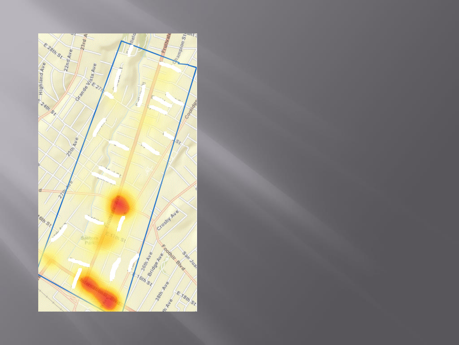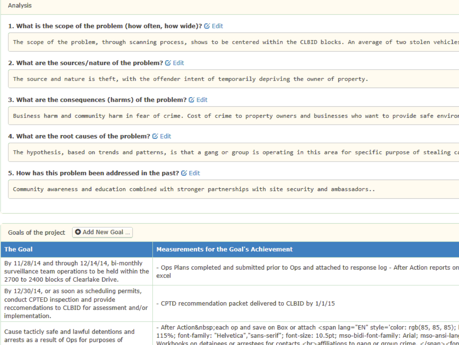### 1. What is the scope of the problem (how often, how wide)? @ Edit

The scope of the problem, through scanning process, shows to be centered within the CLBID blocks. An average of two stolen vehicle:

### 2. What are the sources/nature of the problem? @ Edit

The source and nature is theft, with the offender intent of temporarily depriving the owner of property.

### 3. What are the consequences (harms) of the problem? @ Edit

Business harm and community harm in fear of crime. Cost of crime to property owners and businesses who want to provide safe enviror

### 4. What are the root causes of the problem? @ Edit

The hypothesis, based on trends and patterns, is that a gang or group is operating in this area for specific purpose of stealing ca

### 5. How has this problem been addressed in the past? Ø Edit

Community awareness and education combined with stronger partnerships with site security and ambassadors..

| <b>O</b> Add New Goal<br>Goals of the project                                                                                                               |                                                                                                                                                                                                                                                                                                                          |
|-------------------------------------------------------------------------------------------------------------------------------------------------------------|--------------------------------------------------------------------------------------------------------------------------------------------------------------------------------------------------------------------------------------------------------------------------------------------------------------------------|
| <b>The Goal</b>                                                                                                                                             | <b>Measurements for the Goal's Achievement</b>                                                                                                                                                                                                                                                                           |
| By 11/28/14 and through 12/14/14, bi-monthly<br>surveillance team operations to be held within the<br>2700 to 2400 blocks of Clearlake Drive.               | - Ops Plans completed and submitted prior to Ops and attached to response log - After Action reports on<br>excel                                                                                                                                                                                                         |
| By 12/30/14, or as soon as scheduling permits,<br>conduct CPTED inspection and provide<br>reccomendations to CLBID for assessment and/or<br>implementation. | - CPTD recommendation packet delivered to CLBID by 1/1/15                                                                                                                                                                                                                                                                |
| Cause tacticly safe and lawful detentions and<br>arrests as a result of Ops for purposes of                                                                 | - After Action each op and save on Box or attach <span lang="EN" style='color: rgb(85, 85, 85);<br>115%; font-family: "Helvetica","sans-serif"; font-size: 10.5pt; mso-bidi-font-family: Arial; mso-ansi-lan<br>Workbooks on detainees or arrestees for contacts<br><br>chryaffiliations to gang or group crime <<br>for |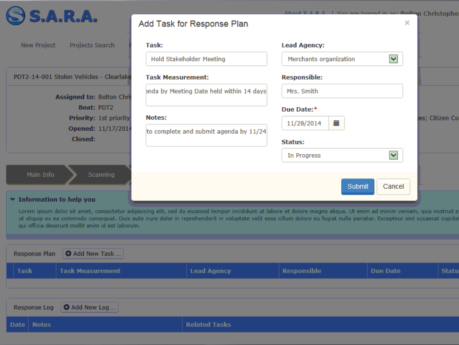

| Response Plan | <b>O</b> Add New Task   |                      |                    |          |              |
|---------------|-------------------------|----------------------|--------------------|----------|--------------|
| <b>Task</b>   | <b>Task Measurement</b> | <b>Lead Agency</b>   | <b>Responsible</b> | Due Date | <b>Statu</b> |
|               |                         |                      |                    |          |              |
|               |                         |                      |                    |          |              |
| Response Log  | Add New Log             |                      |                    |          |              |
| Date   Notes  |                         | <b>Related Tasks</b> |                    |          |              |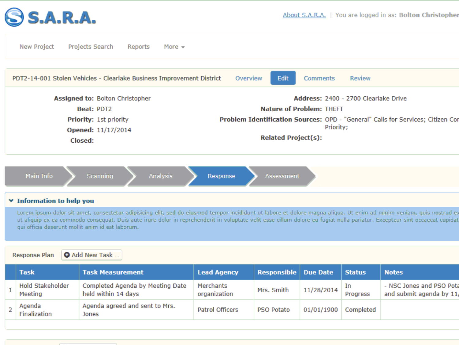



Lorem ipsum dolor sit amet, consectetur adipisicing elit, sed do eiusmod tempor incididunt ut labore et dolore magna aliqua. Ut enim ad minim veniam, quis nostrud ex ut aliquip ex ea commodo consequat. Duis aute irure dolor in reprehenderit in voluptate velit esse cillum dolore eu fugiat nulla pariatur. Excepteur sint occaecat cupidat qui officia deserunt mollit anim id est laborum.

### **O** Add New Task ... Response Plan

| <b>Task</b>                        | Task Measurement                                        | <b>Lead Agency</b>        | Responsible   Due Date |            | <b>Status</b>   | <b>Notes</b>                                         |
|------------------------------------|---------------------------------------------------------|---------------------------|------------------------|------------|-----------------|------------------------------------------------------|
| <b>Hold Stakeholder</b><br>Meeting | Completed Agenda by Meeting Date<br>held within 14 days | Merchants<br>organization | Mrs. Smith             | 11/28/2014 | -In<br>Progress | - NSC Jones and PSO Pota<br>and submit agenda by 11, |
| Agenda<br>Finalization             | Agenda agreed and sent to Mrs.<br>Jones                 | <b>Patrol Officers</b>    | <b>PSO Potato</b>      | 01/01/1900 | Completed       |                                                      |